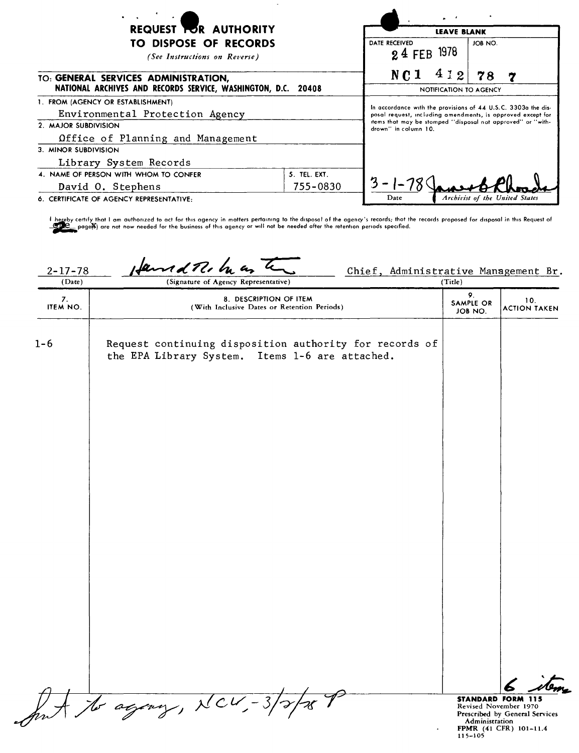|                                                                                                       |                                                                                     | $\mathbf{r} = \mathbf{r}$<br><b>LEAVE BLANK</b>                                                                              |  |         |                                |
|-------------------------------------------------------------------------------------------------------|-------------------------------------------------------------------------------------|------------------------------------------------------------------------------------------------------------------------------|--|---------|--------------------------------|
| REQUEST <b>TOR AUTHORITY</b>                                                                          |                                                                                     |                                                                                                                              |  |         |                                |
| <b>TO DISPOSE OF RECORDS</b><br>(See Instructions on Reverse)                                         |                                                                                     | DATE RECEIVED<br>24 FEB 1978                                                                                                 |  | JOB NO. |                                |
| TO: GENERAL SERVICES ADMINISTRATION,<br>NATIONAL ARCHIVES AND RECORDS SERVICE, WASHINGTON, D.C. 20408 |                                                                                     | 412<br>N <sub>C</sub> 1<br>78<br>$\overline{7}$<br>NOTIFICATION TO AGENCY                                                    |  |         |                                |
| 1. FROM (AGENCY OR ESTABLISHMENT)<br>Environmental Protection Agency                                  |                                                                                     | In accordance with the provisions of 44 U.S.C. 3303a the dis-<br>posal request, including amendments, is opproved except for |  |         |                                |
| 2. MAJOR SUBDIVISION<br>Office of Planning and Management                                             | items that may be stomped "disposal not approved" or "with-<br>drown" in column 10. |                                                                                                                              |  |         |                                |
| 3. MINOR SUBDIVISION                                                                                  |                                                                                     |                                                                                                                              |  |         |                                |
| Library System Records                                                                                |                                                                                     |                                                                                                                              |  |         |                                |
| 4. NAME OF PERSON WITH WHOM TO CONFER                                                                 | 5. TEL. EXT.                                                                        |                                                                                                                              |  |         |                                |
| David O. Stephens                                                                                     | 755-0830                                                                            | Date                                                                                                                         |  |         | Archivist of the United States |
| 6. CERTIFICATE OF AGENCY REPRESENTATIVE:                                                              |                                                                                     |                                                                                                                              |  |         |                                |

l hereby certify that I am authorized to act for this agency in matters pertaining to the disposal of the agency's records; thot the records proposed for disposal in this Request of<br>CDC\_ page的 are not now needed for the b

2-17-78  $\mu$   $\pi$   $\pi$   $\pi$   $\pi$   $\pi$   $\pi$   $\pi$  Chief, Administrative Management Br. (Signature of Agency Representative) 9. 8. DESCRIPTION OF ITEM 10.<br>ITEM NO. (With Inclusive Dates or Retention Periods) SAMPLE OR SAMPLE OR 10.<br>JOB NO. ACTION TAKEN Request continuing disposition authority for records of 1-6 the EPA Library System. Items 1-6 are attached. ant to agony, NCV,-3/2/28 P ~~ STANDARD FORM 115 Revised November 1970<br>Prescribed by General Service<br>**Ad**ministration<br>FPMR (41 CFR) 101–11.4<br>115–105